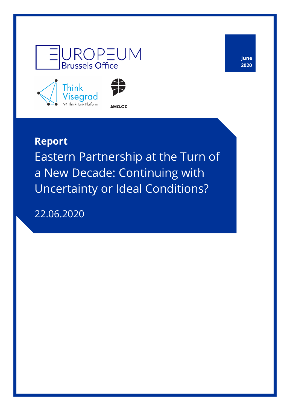



**June 2020**

## **Report** Eastern Partnership at the Turn of a New Decade: Continuing with Uncertainty or Ideal Conditions?

22.06.2020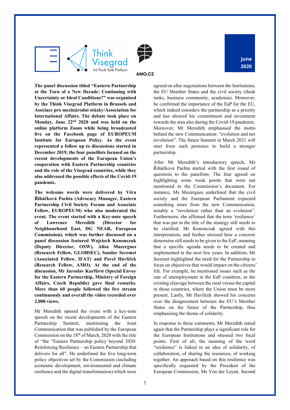

**June 2020**

**The panel discussion titled "Eastern Partnership at the Turn of a New Decade: Continuing with Uncertainty or Ideal Conditions?" was organised by the Think Visegrad Platform in Brussels and Asociace pro mezinárodní otázky/Association for International Affairs. The debate took place on Monday, June 22nd 2020 and was held on the online platform Zoom while being broadcasted live on the Facebook page of EUROPEUM Institute for European Policy. As the event represented a follow up to discussions started in December 2019, the four panellists focused on the recent developments of the European Union's cooperation with Eastern Partnership countries and the role of the Visegrad countries, while they also addressed the possible effects of the Covid-19 pandemic.** 

**The welcome words were delivered by Věra Řiháčková Pachta (Advocacy Manager, Eastern Partnership Civil Society Forum and Associate Fellow, EUROPEUM) who also moderated the event. The event started with a Key-note speech of Lawrence Meredith (Director for Neighbourhood East, DG NEAR, European Commission), which was further discussed on a panel discussion featured Wojciech Kononczuk (Deputy Director, OSW), Alisa Muzergues (Research Fellow, GLOBSEC), Sandor Seremet (Associated Fellow, IFAT) and Pavel Havlíček (Research Fellow, AMO). At the end of the discussion, Mr Jaroslav Kurfürst (Special Envoy for the Eastern Partnership, Ministry of Foreign Affairs, Czech Republic) gave final remarks. More than 60 people followed the live stream continuously and overall the video recorded over 2,000 views.** 

Mr Meredith opened the event with a key-note speech on the recent developments of the Eastern Partnership Summit, mentioning the Joint Communication that was published by the European Commission on the  $18<sup>th</sup>$  of March, 2020 with the title of "the "Eastern Partnership policy beyond 2020: Reinforcing Resilience – an Eastern Partnership that delivers for all". He underlined the five long-term policy objectives set by the Commission (including economic development, environmental and climate resilience and the digital transformation) which were

agreed on after negotiations between the Institutions, the EU Member States and the civil society (think tanks, business community, academia). Moreover, he confirmed the importance of the EaP for the EU, which indeed considers the partnership as a priority and has showed his commitment and investment towards the area also during the Covid-19 pandemic. Moreover, Mr Meredith emphasised the motto behind the new Communication: "evolution and not revolution". The future Summit in March 2021 will start from such premises to build a stronger partnership.

After Mr Meredith's introductory speech, Ms Řiháčková Pachta started with the first round of questions to the panellists. The four agreed on highlighting some weak points that were not mentioned in the Commission's document. For instance, Ms Muzergues underlined that the civil society and the European Parliament expected something more from the new Communication, notably a "revolution rather than an evolution". Furthermore, she affirmed that the term 'resilience' that was put in the title of the strategy still needs to be clarified. Mr Kononczuk agreed with this interpretation, and further stressed how a concrete dimension still needs to be given to the EaP, meaning that a specific agenda needs to be created and implemented in the next few years. In addition, Mr Seremet highlighted the need for the Partnership to focus on objectives that would impact on the citizens' life. For example, he mentioned issues such as the rate of unemployment in the EaP countries, or the existing cleavage between the rural versus the capital in those countries, where the Union must be more present. Lastly, Mr Havlíček showed his concerns over the disagreement between the EU's Member States on the future of the Partnership, thus emphasising the theme of solidarity.

In response to these comments, Mr Meredith stated again that the Partnership plays a significant role for the European Institutions and stressed two focal points. First of all, the meaning of the word "resilience" is linked to an idea of solidarity, of collaboration, of sharing the resources, of working together. An approach based on this resilience was specifically requested by the President of the European Commission, Ms Von der Leyen. Second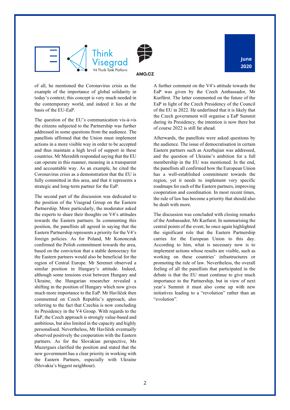

of all, he mentioned the Coronavirus crisis as the example of the importance of global solidarity in today's context; this concept is very much needed in the contemporary world, and indeed it lies at the basis of the EU-EaP.

The question of the EU's communication vis-à-vis the citizens subjected to the Partnership was further addressed in some questions from the audience. The panellists affirmed that the Union must implement actions in a more visible way in order to be accepted and thus maintain a high level of support in these countries. Mr Meredith responded saying that the EU can operate in this manner, meaning in a transparent and accountable way. As an example, he cited the Coronavirus crisis as a demonstration that the EU is fully committed in this area, and that it represents a strategic and long-term partner for the EaP.

The second part of the discussion was dedicated to the position of the Visegrad Group on the Eastern Partnership. More particularly, the moderator asked the experts to share their thoughts on V4's attitudes towards the Eastern partners. In commenting this position, the panellists all agreed in saying that the Eastern Partnership represents a priority for the V4's foreign policies. As for Poland, Mr Kononczuk confirmed the Polish commitment towards the area, based on the conviction that a stable democracy for the Eastern partners would also be beneficial for the region of Central Europe. Mr Seremet observed a similar position in Hungary's attitude. Indeed, although some tensions exist between Hungary and Ukraine, the Hungarian researcher revealed a shifting in the position of Hungary which now gives much more importance to the EaP. Mr Havlíček then commented on Czech Republic's approach, also referring to the fact that Czechia is now concluding its Presidency in the V4 Group. With regards to the EaP, the Czech approach is strongly value-based and ambitious, but also limited in the capacity and highly personalised. Nevertheless, Mr Havlíček eventually observed positively the cooperation with the Eastern partners. As for the Slovakian perspective, Ms Muzergues clarified the position and stated that the new government has a clear priority in working with the Eastern Partners, especially with Ukraine (Slovakia's biggest neighbour).

A further comment on the V4's attitude towards the EaP was given by the Czech Ambassador, Mr Kurfürst. The latter commented on the future of the EaP in light of the Czech Presidency of the Council of the EU in 2022. He underlined that it is likely that the Czech government will organise a EaP Summit during its Presidency, the intention is now there but

Afterwards, the panellists were asked questions by the audience. The issue of democratisation in certain Eastern partners such as Azerbajian was addressed, and the question of Ukraine's ambition for a full membership in the EU was mentioned. In the end, the panellists all confirmed how the European Union has a well-established commitment towards the region, yet it needs to implement very specific roadmaps for each of the Eastern partners, improving cooperation and coordination. In most recent times, the rule of law has become a priority that should also be dealt with more.

of course 2022 is still far ahead.

The discussion was concluded with closing remarks of the Ambassador, Mr Kurfurst. In summarising the central points of the event, he once again highlighted the significant role that the Eastern Partnership carries for the European Union to this day. According to him, what is necessary now is to implement actions whose results are visible, such as working on these countries' infrastructures or promoting the rule of law. Nevertheless, the overall feeling of all the panellists that participated in the debate is that the EU must continue to give much importance to the Partnership, but in view of next year's Summit it must also come up with new initiatives leading to a "revolution" rather than an "evolution".